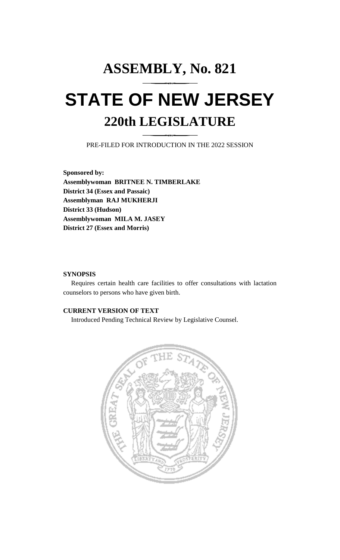# **ASSEMBLY, No. 821 STATE OF NEW JERSEY 220th LEGISLATURE**

PRE-FILED FOR INTRODUCTION IN THE 2022 SESSION

**Sponsored by: Assemblywoman BRITNEE N. TIMBERLAKE District 34 (Essex and Passaic) Assemblyman RAJ MUKHERJI District 33 (Hudson) Assemblywoman MILA M. JASEY District 27 (Essex and Morris)**

## **SYNOPSIS**

Requires certain health care facilities to offer consultations with lactation counselors to persons who have given birth.

# **CURRENT VERSION OF TEXT**

Introduced Pending Technical Review by Legislative Counsel.

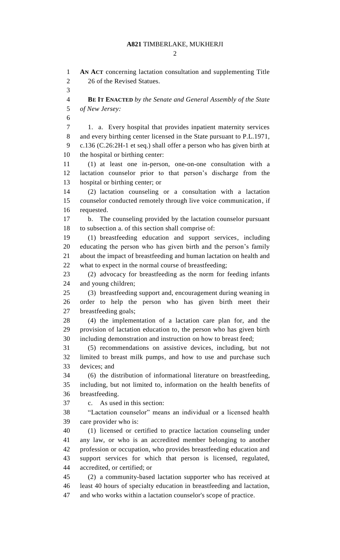#### **A821** TIMBERLAKE, MUKHERJI

 $\mathcal{D}_{\mathcal{L}}$ 

 **AN ACT** concerning lactation consultation and supplementing Title 2 26 of the Revised Statues. **BE IT ENACTED** *by the Senate and General Assembly of the State of New Jersey:* 1. a. Every hospital that provides inpatient maternity services and every birthing center licensed in the State pursuant to P.L.1971, c.136 (C.26:2H-1 et seq.) shall offer a person who has given birth at the hospital or birthing center: (1) at least one in-person, one-on-one consultation with a lactation counselor prior to that person's discharge from the hospital or birthing center; or (2) lactation counseling or a consultation with a lactation counselor conducted remotely through live voice communication, if requested. b. The counseling provided by the lactation counselor pursuant to subsection a. of this section shall comprise of: (1) breastfeeding education and support services, including educating the person who has given birth and the person's family about the impact of breastfeeding and human lactation on health and what to expect in the normal course of breastfeeding; (2) advocacy for breastfeeding as the norm for feeding infants and young children; (3) breastfeeding support and, encouragement during weaning in order to help the person who has given birth meet their breastfeeding goals; (4) the implementation of a lactation care plan for, and the provision of lactation education to, the person who has given birth including demonstration and instruction on how to breast feed; (5) recommendations on assistive devices, including, but not limited to breast milk pumps, and how to use and purchase such devices; and (6) the distribution of informational literature on breastfeeding, including, but not limited to, information on the health benefits of breastfeeding. c. As used in this section: "Lactation counselor" means an individual or a licensed health care provider who is: (1) licensed or certified to practice lactation counseling under any law, or who is an accredited member belonging to another profession or occupation, who provides breastfeeding education and support services for which that person is licensed, regulated, accredited, or certified; or (2) a community-based lactation supporter who has received at least 40 hours of specialty education in breastfeeding and lactation, and who works within a lactation counselor's scope of practice.